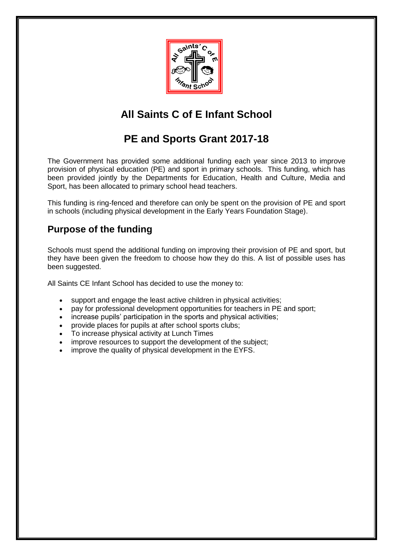

## **All Saints C of E Infant School**

## **PE and Sports Grant 2017-18**

The Government has provided some additional funding each year since 2013 to improve provision of physical education (PE) and sport in primary schools. This funding, which has been provided jointly by the Departments for Education, Health and Culture, Media and Sport, has been allocated to primary school head teachers.

This funding is ring-fenced and therefore can only be spent on the provision of PE and sport in schools (including physical development in the Early Years Foundation Stage).

### **Purpose of the funding**

Schools must spend the additional funding on improving their provision of PE and sport, but they have been given the freedom to choose how they do this. A list of possible uses has been suggested.

All Saints CE Infant School has decided to use the money to:

- support and engage the least active children in physical activities;
- pay for professional development opportunities for teachers in PE and sport;
- increase pupils' participation in the sports and physical activities;
- provide places for pupils at after school sports clubs;
- To increase physical activity at Lunch Times
- improve resources to support the development of the subject;
- improve the quality of physical development in the EYFS.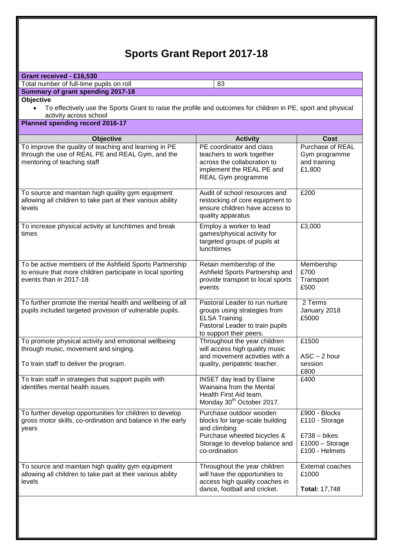# **Sports Grant Report 2017-18**

| Grant received - £16,530<br>Total number of full-time pupils on roll<br>83                                                                      |                                                                                                                                                              |                                                                                          |  |
|-------------------------------------------------------------------------------------------------------------------------------------------------|--------------------------------------------------------------------------------------------------------------------------------------------------------------|------------------------------------------------------------------------------------------|--|
| <b>Summary of grant spending 2017-18</b>                                                                                                        |                                                                                                                                                              |                                                                                          |  |
| <b>Objective</b>                                                                                                                                |                                                                                                                                                              |                                                                                          |  |
| To effectively use the Sports Grant to raise the profile and outcomes for children in PE, sport and physical<br>activity across school          |                                                                                                                                                              |                                                                                          |  |
| Planned spending record 2016-17                                                                                                                 |                                                                                                                                                              |                                                                                          |  |
| <b>Objective</b>                                                                                                                                | <b>Activity</b>                                                                                                                                              | Cost                                                                                     |  |
| To improve the quality of teaching and learning in PE<br>through the use of REAL PE and REAL Gym, and the<br>mentoring of teaching staff        | PE coordinator and class<br>teachers to work together<br>across the collaboration to<br>implement the REAL PE and<br>REAL Gym programme                      | Purchase of REAL<br>Gym programme<br>and training<br>£1,800                              |  |
| To source and maintain high quality gym equipment<br>allowing all children to take part at their various ability<br>levels                      | Audit of school resources and<br>restocking of core equipment to<br>ensure children have access to<br>quality apparatus                                      | £200                                                                                     |  |
| To increase physical activity at lunchtimes and break<br>times                                                                                  | Employ a worker to lead<br>games/physical activity for<br>targeted groups of pupils at<br>lunchtimes                                                         | £3,000                                                                                   |  |
| To be active members of the Ashfield Sports Partnership<br>to ensure that more children participate in local sporting<br>events than in 2017-18 | Retain membership of the<br>Ashfield Sports Partnership and<br>provide transport to local sports<br>events                                                   | Membership<br>£700<br>Transport<br>£500                                                  |  |
| To further promote the mental health and wellbeing of all<br>pupils included targeted provision of vulnerable pupils.                           | Pastoral Leader to run nurture<br>groups using strategies from<br>ELSA Training.<br>Pastoral Leader to train pupils<br>to support their peers.               | 2 Terms<br>January 2018<br>£5000                                                         |  |
| To promote physical activity and emotional wellbeing<br>through music, movement and singing.<br>To train staff to deliver the program.          | Throughout the year children<br>will access high quality music<br>and movement activities with a<br>quality, peripatetic teacher.                            | £1500<br>$ASC - 2 hour$<br>session                                                       |  |
|                                                                                                                                                 |                                                                                                                                                              | £800                                                                                     |  |
| To train staff in strategies that support pupils with<br>identifies mental health issues.                                                       | <b>INSET day lead by Elaine</b><br>Wainaina from the Mental<br>Health First Aid team.<br>Monday 30 <sup>th</sup> October 2017.                               | £400                                                                                     |  |
| To further develop opportunities for children to develop<br>gross motor skills, co-ordination and balance in the early<br>years                 | Purchase outdoor wooden<br>blocks for large-scale building<br>and climbing<br>Purchase wheeled bicycles &<br>Storage to develop balance and<br>co-ordination | £900 - Blocks<br>£110 - Storage<br>$£738 - blkes$<br>$£1000 - Storage$<br>£100 - Helmets |  |
| To source and maintain high quality gym equipment<br>allowing all children to take part at their various ability<br>levels                      | Throughout the year children<br>will have the opportunities to<br>access high quality coaches in<br>dance, football and cricket.                             | External coaches<br>£1000<br><b>Total: 17,748</b>                                        |  |
|                                                                                                                                                 |                                                                                                                                                              |                                                                                          |  |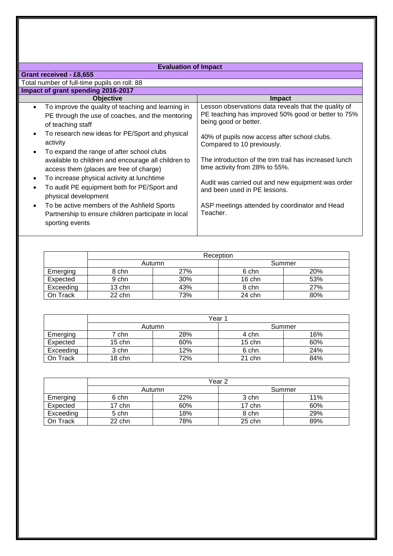#### **Evaluation of Impact**

| Grant received - £8,655                                                                                                                  |                                                                                                                                     |  |
|------------------------------------------------------------------------------------------------------------------------------------------|-------------------------------------------------------------------------------------------------------------------------------------|--|
| Total number of full-time pupils on roll: 88                                                                                             |                                                                                                                                     |  |
| Impact of grant spending 2016-2017                                                                                                       |                                                                                                                                     |  |
| <b>Objective</b>                                                                                                                         | <b>Impact</b>                                                                                                                       |  |
| To improve the quality of teaching and learning in<br>$\bullet$<br>PE through the use of coaches, and the mentoring<br>of teaching staff | Lesson observations data reveals that the quality of<br>PE teaching has improved 50% good or better to 75%<br>being good or better. |  |
| To research new ideas for PE/Sport and physical<br>activity<br>To expand the range of after school clubs                                 | 40% of pupils now access after school clubs.<br>Compared to 10 previously.                                                          |  |
| available to children and encourage all children to<br>access them (places are free of charge)                                           | The introduction of the trim trail has increased lunch<br>time activity from 28% to 55%.                                            |  |
| To increase physical activity at lunchtime<br>To audit PE equipment both for PE/Sport and<br>physical development                        | Audit was carried out and new equipment was order<br>and been used in PE lessons.                                                   |  |
| To be active members of the Ashfield Sports<br>$\bullet$<br>Partnership to ensure children participate in local<br>sporting events       | ASP meetings attended by coordinator and Head<br>Teacher.                                                                           |  |

|           | Reception |     |          |     |
|-----------|-----------|-----|----------|-----|
|           | Autumn    |     | Summer   |     |
| Emerging  | 8 chn     | 27% | 6 chn    | 20% |
| Expected  | 9 chn     | 30% | $16$ chn | 53% |
| Exceeding | 13 chn    | 43% | 8 chn    | 27% |
| On Track  | 22 chn    | 73% | 24 chn   | 80% |

|           | Year     |     |          |     |
|-----------|----------|-----|----------|-----|
|           | Autumn   |     | Summer   |     |
| Emerging  | 7 chn    | 28% | 4 chn    | 16% |
| Expected  | $15$ chn | 60% | $15$ chn | 60% |
| Exceeding | 3 chn    | 12% | 6 chn    | 24% |
| On Track  | $18$ chn | 72% | $21$ chn | 84% |

|           | Year 2 |     |          |     |
|-----------|--------|-----|----------|-----|
|           | Autumn |     | Summer   |     |
| Emerging  | 6 chn  | 22% | 3 chn    | 11% |
| Expected  | 17 chn | 60% | $17$ chn | 60% |
| Exceeding | 5 chn  | 18% | 8 chn    | 29% |
| On Track  | 22 chn | 78% | $25$ chn | 89% |